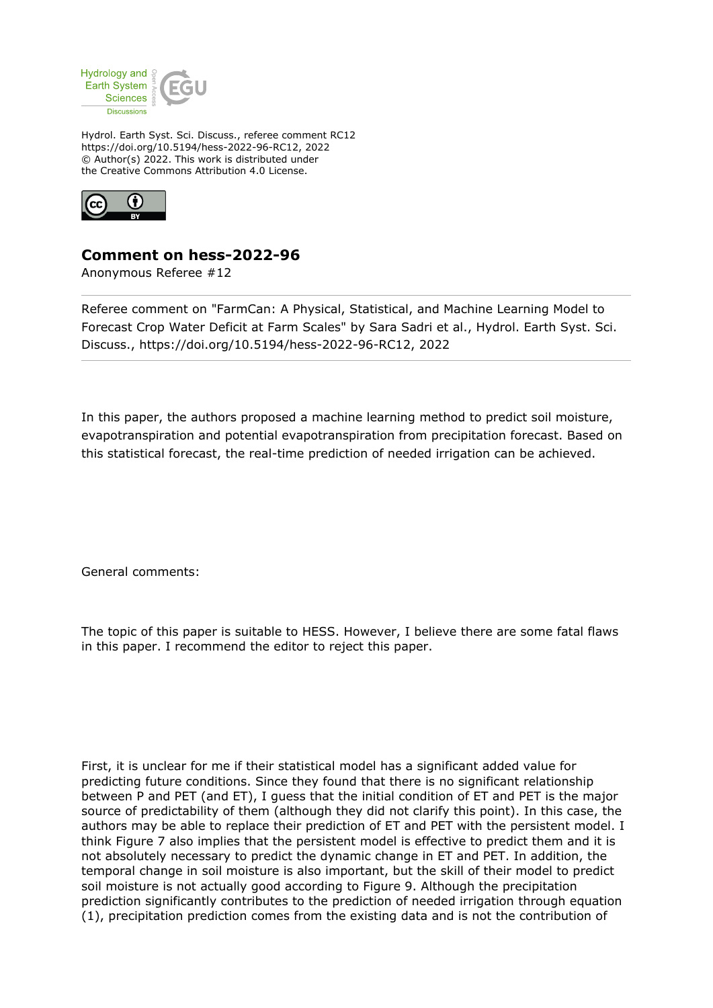

Hydrol. Earth Syst. Sci. Discuss., referee comment RC12 https://doi.org/10.5194/hess-2022-96-RC12, 2022 © Author(s) 2022. This work is distributed under the Creative Commons Attribution 4.0 License.



## **Comment on hess-2022-96**

Anonymous Referee #12

Referee comment on "FarmCan: A Physical, Statistical, and Machine Learning Model to Forecast Crop Water Deficit at Farm Scales" by Sara Sadri et al., Hydrol. Earth Syst. Sci. Discuss., https://doi.org/10.5194/hess-2022-96-RC12, 2022

In this paper, the authors proposed a machine learning method to predict soil moisture, evapotranspiration and potential evapotranspiration from precipitation forecast. Based on this statistical forecast, the real-time prediction of needed irrigation can be achieved.

General comments:

The topic of this paper is suitable to HESS. However, I believe there are some fatal flaws in this paper. I recommend the editor to reject this paper.

First, it is unclear for me if their statistical model has a significant added value for predicting future conditions. Since they found that there is no significant relationship between P and PET (and ET), I guess that the initial condition of ET and PET is the major source of predictability of them (although they did not clarify this point). In this case, the authors may be able to replace their prediction of ET and PET with the persistent model. I think Figure 7 also implies that the persistent model is effective to predict them and it is not absolutely necessary to predict the dynamic change in ET and PET. In addition, the temporal change in soil moisture is also important, but the skill of their model to predict soil moisture is not actually good according to Figure 9. Although the precipitation prediction significantly contributes to the prediction of needed irrigation through equation (1), precipitation prediction comes from the existing data and is not the contribution of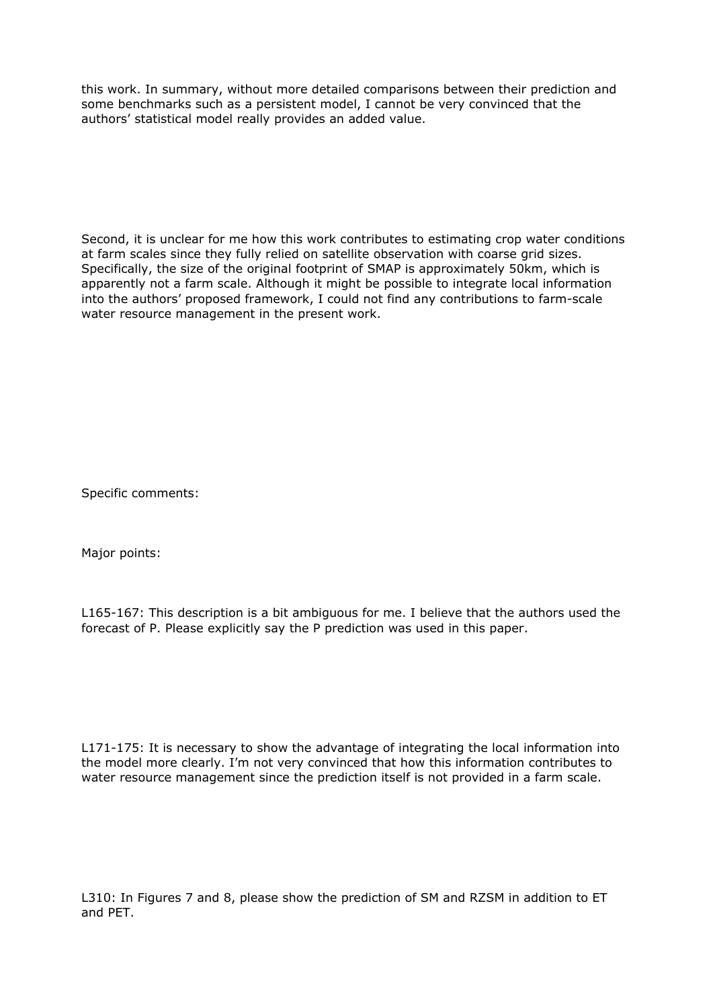this work. In summary, without more detailed comparisons between their prediction and some benchmarks such as a persistent model, I cannot be very convinced that the authors' statistical model really provides an added value.

Second, it is unclear for me how this work contributes to estimating crop water conditions at farm scales since they fully relied on satellite observation with coarse grid sizes. Specifically, the size of the original footprint of SMAP is approximately 50km, which is apparently not a farm scale. Although it might be possible to integrate local information into the authors' proposed framework, I could not find any contributions to farm-scale water resource management in the present work.

Specific comments:

Major points:

L165-167: This description is a bit ambiguous for me. I believe that the authors used the forecast of P. Please explicitly say the P prediction was used in this paper.

L171-175: It is necessary to show the advantage of integrating the local information into the model more clearly. I'm not very convinced that how this information contributes to water resource management since the prediction itself is not provided in a farm scale.

L310: In Figures 7 and 8, please show the prediction of SM and RZSM in addition to ET and PET.